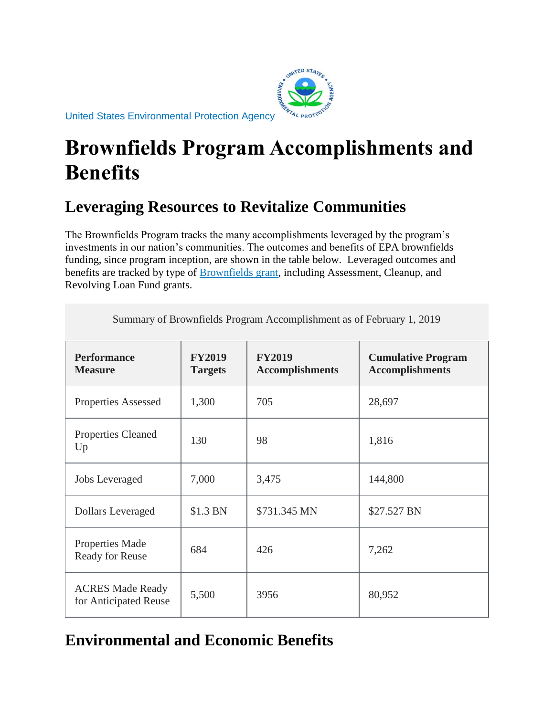

United States Environmental Protection Agency

## **Brownfields Program Accomplishments and Benefits**

## **Leveraging Resources to Revitalize Communities**

The Brownfields Program tracks the many accomplishments leveraged by the program's investments in our nation's communities. The outcomes and benefits of EPA brownfields funding, since program inception, are shown in the table below. Leveraged outcomes and benefits are tracked by type of [Brownfields grant,](https://www.epa.gov/brownfields/types-brownfields-grant-funding) including Assessment, Cleanup, and Revolving Loan Fund grants.

Summary of Brownfields Program Accomplishment as of February 1, 2019

| <b>Performance</b><br><b>Measure</b>             | <b>FY2019</b><br><b>Targets</b> | <b>FY2019</b><br><b>Accomplishments</b> | <b>Cumulative Program</b><br><b>Accomplishments</b> |
|--------------------------------------------------|---------------------------------|-----------------------------------------|-----------------------------------------------------|
| <b>Properties Assessed</b>                       | 1,300                           | 705                                     | 28,697                                              |
| <b>Properties Cleaned</b><br>Up                  | 130                             | 98                                      | 1,816                                               |
| <b>Jobs Leveraged</b>                            | 7,000                           | 3,475                                   | 144,800                                             |
| <b>Dollars Leveraged</b>                         | \$1.3 BN                        | \$731.345 MN                            | \$27.527 BN                                         |
| <b>Properties Made</b><br>Ready for Reuse        | 684                             | 426                                     | 7,262                                               |
| <b>ACRES Made Ready</b><br>for Anticipated Reuse | 5,500                           | 3956                                    | 80,952                                              |

**Environmental and Economic Benefits**